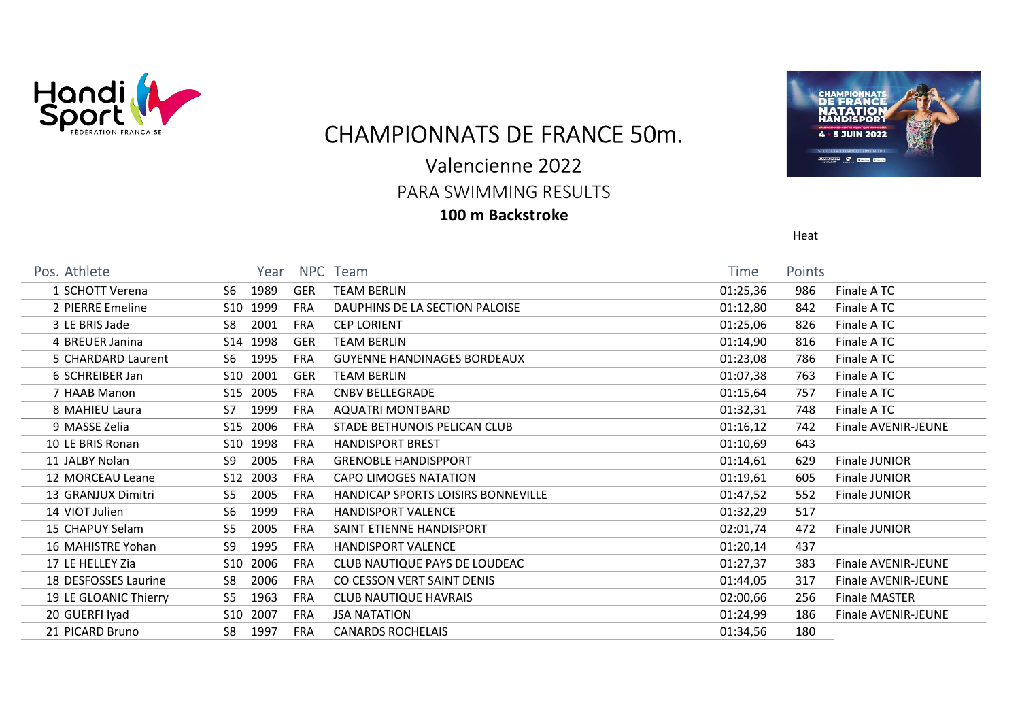

CHAMPIONNATS DE FRANCE 50m.

# Valencienne 2022

PARA SWIMMING RESULTS

### 100 m Backstroke



Heat

| Pos. Athlete          | Year                                 | NPC Team                                  | Time     | <b>Points</b> |                      |
|-----------------------|--------------------------------------|-------------------------------------------|----------|---------------|----------------------|
| 1 SCHOTT Verena       | 1989<br>S6.<br>GER                   | <b>TEAM BERLIN</b>                        | 01:25,36 | 986           | Finale A TC          |
| 2 PIERRE Emeline      | S10 1999<br><b>FRA</b>               | DAUPHINS DE LA SECTION PALOISE            | 01:12,80 | 842           | Finale ATC           |
| 3 LE BRIS Jade        | 2001<br>S8<br><b>FRA</b>             | <b>CEP LORIENT</b>                        | 01:25,06 | 826           | Finale ATC           |
| 4 BREUER Janina       | S14 1998<br><b>GER</b>               | <b>TEAM BERLIN</b>                        | 01:14,90 | 816           | Finale ATC           |
| 5 CHARDARD Laurent    | 1995<br>S6<br><b>FRA</b>             | <b>GUYENNE HANDINAGES BORDEAUX</b>        | 01:23,08 | 786           | Finale ATC           |
| 6 SCHREIBER Jan       | S10 2001<br>GER                      | <b>TEAM BERLIN</b>                        | 01:07,38 | 763           | Finale ATC           |
| 7 HAAB Manon          | S15 2005<br><b>FRA</b>               | <b>CNBV BELLEGRADE</b>                    | 01:15,64 | 757           | Finale A TC          |
| 8 MAHIEU Laura        | 1999<br><b>FRA</b><br>S7             | AQUATRI MONTBARD                          | 01:32,31 | 748           | Finale A TC          |
| 9 MASSE Zelia         | S15 2006<br><b>FRA</b>               | STADE BETHUNOIS PELICAN CLUB              | 01:16,12 | 742           | Finale AVENIR-JEUNE  |
| 10 LE BRIS Ronan      | S10 1998<br><b>FRA</b>               | <b>HANDISPORT BREST</b>                   | 01:10,69 | 643           |                      |
| 11 JALBY Nolan        | 2005<br>S9<br><b>FRA</b>             | <b>GRENOBLE HANDISPPORT</b>               | 01:14,61 | 629           | Finale JUNIOR        |
| 12 MORCEAU Leane      | S12 2003<br><b>FRA</b>               | CAPO LIMOGES NATATION                     | 01:19,61 | 605           | Finale JUNIOR        |
| 13 GRANJUX Dimitri    | 2005<br>S5<br><b>FRA</b>             | <b>HANDICAP SPORTS LOISIRS BONNEVILLE</b> | 01:47,52 | 552           | Finale JUNIOR        |
| 14 VIOT Julien        | S <sub>6</sub><br>1999<br><b>FRA</b> | <b>HANDISPORT VALENCE</b>                 | 01:32,29 | 517           |                      |
| 15 CHAPUY Selam       | 2005<br>S5<br><b>FRA</b>             | SAINT ETIENNE HANDISPORT                  | 02:01,74 | 472           | Finale JUNIOR        |
| 16 MAHISTRE Yohan     | 1995<br>S9<br><b>FRA</b>             | <b>HANDISPORT VALENCE</b>                 | 01:20,14 | 437           |                      |
| 17 LE HELLEY Zia      | 2006<br>S10<br><b>FRA</b>            | CLUB NAUTIQUE PAYS DE LOUDEAC             | 01:27,37 | 383           | Finale AVENIR-JEUNE  |
| 18 DESFOSSES Laurine  | 2006<br>S8<br><b>FRA</b>             | CO CESSON VERT SAINT DENIS                | 01:44,05 | 317           | Finale AVENIR-JEUNE  |
| 19 LE GLOANIC Thierry | 1963<br>S <sub>5</sub><br><b>FRA</b> | <b>CLUB NAUTIQUE HAVRAIS</b>              | 02:00,66 | 256           | <b>Finale MASTER</b> |
| 20 GUERFI Iyad        | S10 2007<br><b>FRA</b>               | <b>JSA NATATION</b>                       | 01:24,99 | 186           | Finale AVENIR-JEUNE  |
| 21 PICARD Bruno       | 1997<br>S8<br><b>FRA</b>             | <b>CANARDS ROCHELAIS</b>                  | 01:34,56 | 180           |                      |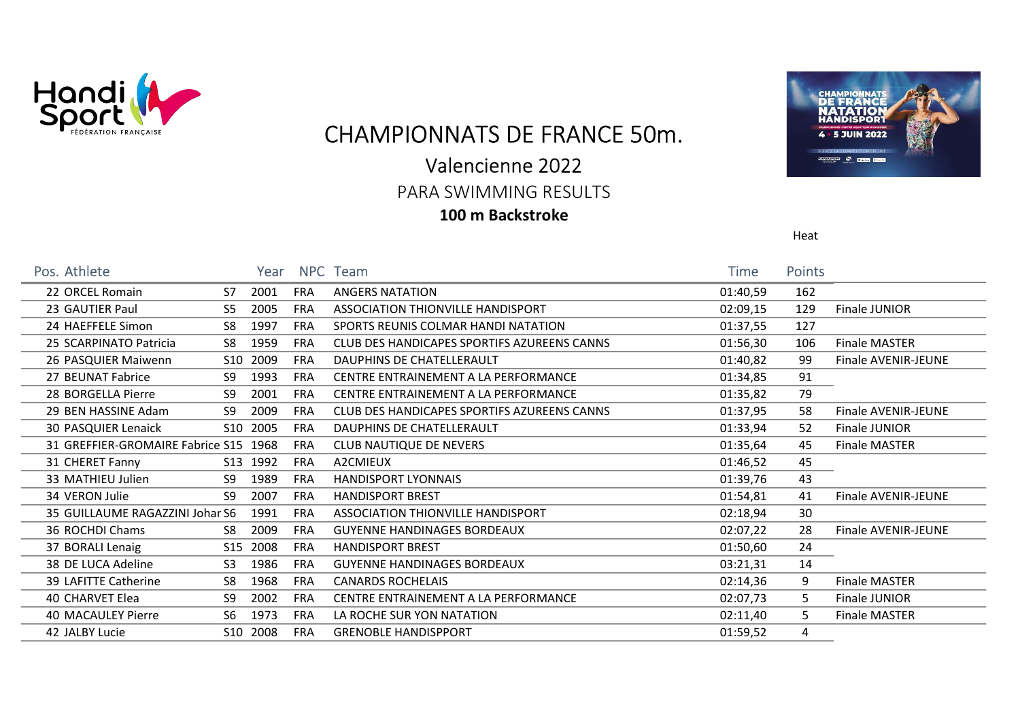

CHAMPIONNATS DE FRANCE 50m.

# Valencienne 2022

PARA SWIMMING RESULTS

### 100 m Backstroke



Heat

| Pos. Athlete                          |                | Year     |            | NPC Team                                    | Time     | <b>Points</b> |                            |
|---------------------------------------|----------------|----------|------------|---------------------------------------------|----------|---------------|----------------------------|
| 22 ORCEL Romain                       | S7             | 2001     | <b>FRA</b> | <b>ANGERS NATATION</b>                      | 01:40,59 | 162           |                            |
| 23 GAUTIER Paul                       | S5             | 2005     | <b>FRA</b> | ASSOCIATION THIONVILLE HANDISPORT           | 02:09,15 | 129           | Finale JUNIOR              |
| 24 HAEFFELE Simon                     | S8             | 1997     | <b>FRA</b> | SPORTS REUNIS COLMAR HANDI NATATION         | 01:37,55 | 127           |                            |
| 25 SCARPINATO Patricia                | S8             | 1959     | <b>FRA</b> | CLUB DES HANDICAPES SPORTIFS AZUREENS CANNS | 01:56,30 | 106           | <b>Finale MASTER</b>       |
| 26 PASQUIER Maiwenn                   |                | S10 2009 | <b>FRA</b> | DAUPHINS DE CHATELLERAULT                   | 01:40,82 | 99            | Finale AVENIR-JEUNE        |
| 27 BEUNAT Fabrice                     | S9             | 1993     | <b>FRA</b> | CENTRE ENTRAINEMENT A LA PERFORMANCE        | 01:34,85 | 91            |                            |
| 28 BORGELLA Pierre                    | S9             | 2001     | <b>FRA</b> | CENTRE ENTRAINEMENT A LA PERFORMANCE        | 01:35,82 | 79            |                            |
| 29 BEN HASSINE Adam                   | S9             | 2009     | <b>FRA</b> | CLUB DES HANDICAPES SPORTIFS AZUREENS CANNS | 01:37,95 | 58            | <b>Finale AVENIR-JEUNE</b> |
| 30 PASQUIER Lenaick                   |                | S10 2005 | <b>FRA</b> | DAUPHINS DE CHATELLERAULT                   | 01:33,94 | 52            | Finale JUNIOR              |
| 31 GREFFIER-GROMAIRE Fabrice S15 1968 |                |          | <b>FRA</b> | CLUB NAUTIQUE DE NEVERS                     | 01:35,64 | 45            | Finale MASTER              |
| 31 CHERET Fanny                       |                | S13 1992 | <b>FRA</b> | A2CMIEUX                                    | 01:46,52 | 45            |                            |
| 33 MATHIEU Julien                     | S9             | 1989     | <b>FRA</b> | <b>HANDISPORT LYONNAIS</b>                  | 01:39,76 | 43            |                            |
| 34 VERON Julie                        | S9             | 2007     | <b>FRA</b> | <b>HANDISPORT BREST</b>                     | 01:54,81 | 41            | <b>Finale AVENIR-JEUNE</b> |
| 35 GUILLAUME RAGAZZINI Johar S6       |                | 1991     | <b>FRA</b> | ASSOCIATION THIONVILLE HANDISPORT           | 02:18,94 | 30            |                            |
| 36 ROCHDI Chams                       | S8             | 2009     | <b>FRA</b> | <b>GUYENNE HANDINAGES BORDEAUX</b>          | 02:07,22 | 28            | <b>Finale AVENIR-JEUNE</b> |
| 37 BORALI Lenaig                      |                | S15 2008 | <b>FRA</b> | <b>HANDISPORT BREST</b>                     | 01:50,60 | 24            |                            |
| 38 DE LUCA Adeline                    | S <sub>3</sub> | 1986     | <b>FRA</b> | <b>GUYENNE HANDINAGES BORDEAUX</b>          | 03:21,31 | 14            |                            |
| 39 LAFITTE Catherine                  | S8             | 1968     | <b>FRA</b> | <b>CANARDS ROCHELAIS</b>                    | 02:14,36 | 9             | <b>Finale MASTER</b>       |
| 40 CHARVET Elea                       | S9             | 2002     | <b>FRA</b> | CENTRE ENTRAINEMENT A LA PERFORMANCE        | 02:07,73 | 5.            | Finale JUNIOR              |
| 40 MACAULEY Pierre                    | S <sub>6</sub> | 1973     | <b>FRA</b> | LA ROCHE SUR YON NATATION                   | 02:11,40 | 5.            | <b>Finale MASTER</b>       |
| 42 JALBY Lucie                        |                | S10 2008 | FRA        | <b>GRENOBLE HANDISPPORT</b>                 | 01:59,52 | 4             |                            |